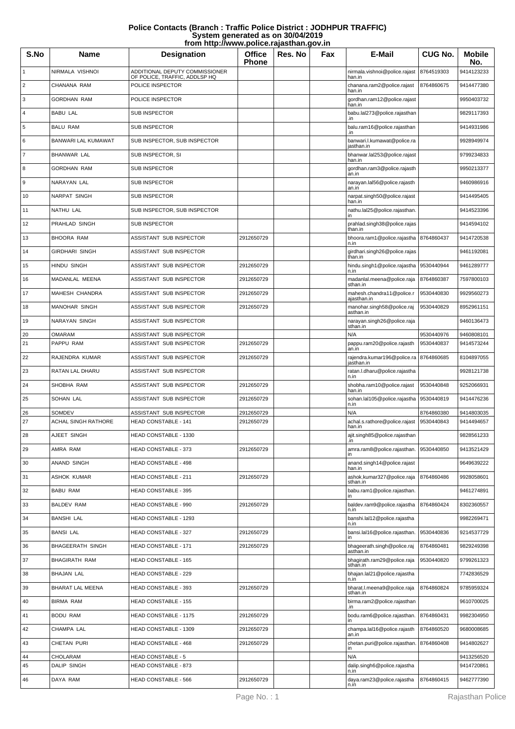| Police Contacts (Branch: Traffic Police District: JODHPUR TRAFFIC) |
|--------------------------------------------------------------------|
| System generated as on 30/04/2019                                  |
| from http://www.police.rajasthan.gov.in                            |

| S.No                    | <b>Name</b>                          | <b>Designation</b>                                              | <b>Office</b><br>Phone   | Res. No | Fax | E-Mail                                    | <b>CUG No.</b>           | <b>Mobile</b><br>No.     |
|-------------------------|--------------------------------------|-----------------------------------------------------------------|--------------------------|---------|-----|-------------------------------------------|--------------------------|--------------------------|
| $\mathbf{1}$            | NIRMALA VISHNOI                      | ADDITIONAL DEPUTY COMMISSIONER<br>OF POLICE, TRAFFIC, ADDLSP HQ |                          |         |     | nirmala.vishnoi@police.rajast<br>han.in   | 8764519303               | 9414123233               |
| 2                       | CHANANA RAM                          | POLICE INSPECTOR                                                |                          |         |     | chanana.ram2@police.rajast<br>han.in      | 8764860675               | 9414477380               |
| 3                       | <b>GORDHAN RAM</b>                   | POLICE INSPECTOR                                                |                          |         |     | gordhan.ram12@police.rajast<br>han.in     |                          | 9950403732               |
| $\overline{\mathbf{4}}$ | <b>BABU LAL</b>                      | <b>SUB INSPECTOR</b>                                            |                          |         |     | babu.lal273@police.rajasthan<br>.in       |                          | 9829117393               |
| 5                       | <b>BALU RAM</b>                      | <b>SUB INSPECTOR</b>                                            |                          |         |     | balu.ram16@police.rajasthan<br>.in        |                          | 9414931986               |
| 6                       | BANWARI LAL KUMAWAT                  | SUB INSPECTOR, SUB INSPECTOR                                    |                          |         |     | banwari.l.kumawat@police.ra<br>jasthan.in |                          | 9928949974               |
| 7                       | <b>BHANWAR LAL</b>                   | SUB INSPECTOR, SI                                               |                          |         |     | bhanwar.lal253@police.rajast<br>han.in    |                          | 9799234833               |
| 8                       | <b>GORDHAN RAM</b>                   | <b>SUB INSPECTOR</b>                                            |                          |         |     | gordhan.ram3@police.rajasth<br>an.in      |                          | 9950213377               |
| 9                       | NARAYAN LAL                          | <b>SUB INSPECTOR</b>                                            |                          |         |     | narayan.lal56@police.rajasth<br>an.in     |                          | 9460986916               |
| 10                      | NARPAT SINGH                         | <b>SUB INSPECTOR</b>                                            |                          |         |     | narpat.singh50@police.rajast<br>han.in    |                          | 9414495405               |
| 11                      | NATHU LAL                            | SUB INSPECTOR, SUB INSPECTOR                                    |                          |         |     | nathu.lal25@police.rajasthan.             |                          | 9414523396               |
| 12                      | PRAHLAD SINGH                        | <b>SUB INSPECTOR</b>                                            |                          |         |     | prahlad.singh38@police.rajas<br>than.in   |                          | 9414594102               |
| 13                      | <b>BHOORA RAM</b>                    | ASSISTANT SUB INSPECTOR                                         | 2912650729               |         |     | bhoora.ram1@police.rajastha<br>n.in       | 8764860437               | 9414720538               |
| 14                      | <b>GIRDHARI SINGH</b>                | ASSISTANT SUB INSPECTOR                                         |                          |         |     | girdhari.singh26@police.rajas<br>than.in  |                          | 9461192081               |
| 15                      | <b>HINDU SINGH</b>                   | ASSISTANT SUB INSPECTOR                                         | 2912650729               |         |     | hindu.singh1@police.rajastha<br>n.in      | 9530440944               | 9461289777               |
| 16                      | MADANLAL MEENA                       | ASSISTANT SUB INSPECTOR                                         | 2912650729               |         |     | madanlal.meena@police.raja<br>sthan.in    | 8764860387               | 7597800103               |
| 17                      | MAHESH CHANDRA                       | ASSISTANT SUB INSPECTOR                                         | 2912650729               |         |     | mahesh.chandra11@police.r<br>ajasthan.in  | 9530440830               | 9929560273               |
| 18                      | <b>MANOHAR SINGH</b>                 | ASSISTANT SUB INSPECTOR                                         | 2912650729               |         |     | manohar.singh58@police.raj<br>asthan.in   | 9530440829               | 8952961151               |
| 19                      | NARAYAN SINGH                        | ASSISTANT SUB INSPECTOR                                         |                          |         |     | narayan.singh26@police.raja<br>sthan.in   |                          | 9460136473               |
| 20                      | <b>OMARAM</b>                        | ASSISTANT SUB INSPECTOR                                         |                          |         |     | N/A                                       | 9530440976               | 9460808101               |
| 21                      | PAPPU RAM                            | ASSISTANT SUB INSPECTOR                                         | 2912650729               |         |     | pappu.ram20@police.rajasth<br>an.in       | 9530440837               | 9414573244               |
| 22                      | RAJENDRA KUMAR                       | ASSISTANT SUB INSPECTOR                                         | 2912650729               |         |     | rajendra.kumar196@police.ra<br>jasthan.in | 8764860685               | 8104897055               |
| 23                      | RATAN LAL DHARU                      | ASSISTANT SUB INSPECTOR                                         |                          |         |     | ratan.l.dharu@police.rajastha<br>n.in     |                          | 9928121738               |
| 24                      | SHOBHA RAM                           | ASSISTANT SUB INSPECTOR                                         | 2912650729               |         |     | shobha.ram10@police.rajast<br>han.in      | 9530440848               | 9252066931               |
| 25                      | <b>SOHAN LAL</b>                     | ASSISTANT SUB INSPECTOR                                         | 2912650729               |         |     | sohan.lal105@police.rajastha<br>n.in      | 9530440819               | 9414476236               |
| 26<br>27                | SOMDEV<br><b>ACHAL SINGH RATHORE</b> | ASSISTANT SUB INSPECTOR<br><b>HEAD CONSTABLE - 141</b>          | 2912650729<br>2912650729 |         |     | N/A<br>achal.s.rathore@police.rajast      | 8764860380<br>9530440843 | 9414803035<br>9414494657 |
| 28                      | AJEET SINGH                          | HEAD CONSTABLE - 1330                                           |                          |         |     | han.in<br>ajit.singh85@police.rajasthan   |                          | 9828561233               |
| 29                      | AMRA RAM                             | HEAD CONSTABLE - 373                                            | 2912650729               |         |     | amra.ram8@police.rajasthan.               | 9530440850               | 9413521429               |
| 30                      | ANAND SINGH                          | HEAD CONSTABLE - 498                                            |                          |         |     | anand.singh14@police.rajast               |                          | 9649639222               |
| 31                      | <b>ASHOK KUMAR</b>                   | HEAD CONSTABLE - 211                                            | 2912650729               |         |     | han.in<br>ashok.kumar327@police.raja      | 8764860486               | 9928058601               |
| 32                      | <b>BABU RAM</b>                      | HEAD CONSTABLE - 395                                            |                          |         |     | sthan.in<br>babu.ram1@police.rajasthan.   |                          | 9461274891               |
| 33                      | <b>BALDEV RAM</b>                    | HEAD CONSTABLE - 990                                            | 2912650729               |         |     | baldev.ram9@police.rajastha               | 8764860424               | 8302360557               |
| 34                      | <b>BANSHI LAL</b>                    | HEAD CONSTABLE - 1293                                           |                          |         |     | n.in<br>banshi.lal12@police.rajastha      |                          | 9982269471               |
| 35                      | <b>BANSI LAL</b>                     | HEAD CONSTABLE - 327                                            | 2912650729               |         |     | n.in<br>bansi.lal16@police.rajasthan.     | 9530440836               | 9214537729               |
| 36                      | <b>BHAGEERATH SINGH</b>              | HEAD CONSTABLE - 171                                            | 2912650729               |         |     | bhageerath.singh@police.raj               | 8764860481               | 9829249398               |
| 37                      | <b>BHAGIRATH RAM</b>                 | HEAD CONSTABLE - 165                                            |                          |         |     | asthan.in<br>bhagirath.ram29@police.raja  | 9530440820               | 9799261323               |
| 38                      | <b>BHAJAN LAL</b>                    | HEAD CONSTABLE - 229                                            |                          |         |     | sthan.in<br>bhajan.lal21@police.rajastha  |                          | 7742836529               |
| 39                      | BHARAT LAL MEENA                     | <b>HEAD CONSTABLE - 393</b>                                     | 2912650729               |         |     | n.in<br>bharat.l.meena9@police.raja       | 8764860824               | 9785959324               |
| 40                      | <b>BIRMA RAM</b>                     | HEAD CONSTABLE - 155                                            |                          |         |     | sthan.in<br>birma.ram2@police.rajasthan   |                          | 9610700025               |
| 41                      | <b>BODU RAM</b>                      | HEAD CONSTABLE - 1175                                           | 2912650729               |         |     | .in<br>bodu.ram6@police.rajasthan.        | 8764860431               | 9982304950               |
| 42                      | CHAMPA LAL                           | HEAD CONSTABLE - 1309                                           | 2912650729               |         |     | ın<br>champa.lal16@police.rajasth         | 8764860520               | 9680008685               |
| 43                      | CHETAN PURI                          | HEAD CONSTABLE - 468                                            | 2912650729               |         |     | an.in<br>chetan.puri@police.rajasthan.    | 8764860408               | 9414802627               |
| 44                      | CHOLARAM                             | <b>HEAD CONSTABLE - 5</b>                                       |                          |         |     | in<br>N/A                                 |                          | 9413256520               |
| 45                      | <b>DALIP SINGH</b>                   | HEAD CONSTABLE - 873                                            |                          |         |     | dalip.singh6@police.rajastha<br>n.in      |                          | 9414720861               |
| 46                      | DAYA RAM                             | HEAD CONSTABLE - 566                                            | 2912650729               |         |     | daya.ram23@police.rajastha<br>n.in        | 8764860415               | 9462777390               |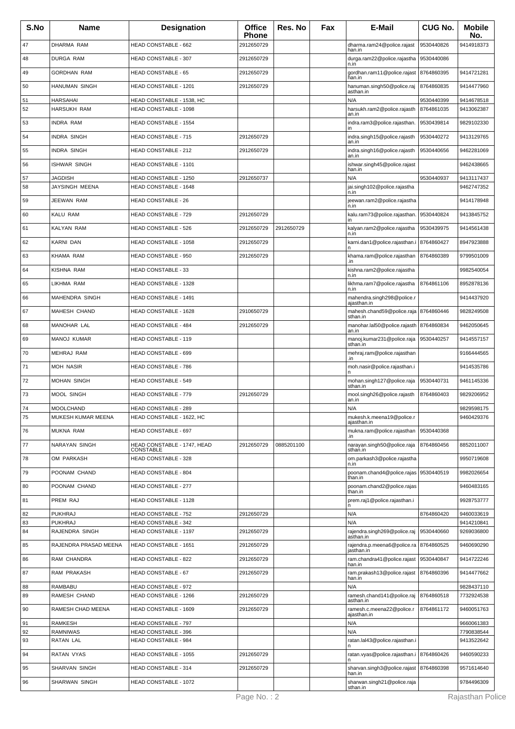| S.No | <b>Name</b>           | <b>Designation</b>                       | <b>Office</b><br><b>Phone</b> | Res. No    | Fax | E-Mail                                        | <b>CUG No.</b> | <b>Mobile</b><br>No. |
|------|-----------------------|------------------------------------------|-------------------------------|------------|-----|-----------------------------------------------|----------------|----------------------|
| 47   | DHARMA RAM            | HEAD CONSTABLE - 662                     | 2912650729                    |            |     | dharma.ram24@police.rajast<br>han.in          | 9530440826     | 9414918373           |
| 48   | DURGA RAM             | <b>HEAD CONSTABLE - 307</b>              | 2912650729                    |            |     | durga.ram22@police.rajastha<br>n.in           | 9530440086     |                      |
| 49   | <b>GORDHAN RAM</b>    | <b>HEAD CONSTABLE - 65</b>               | 2912650729                    |            |     | gordhan.ram11@police.rajast<br>han.in         | 8764860395     | 9414721281           |
| 50   | HANUMAN SINGH         | HEAD CONSTABLE - 1201                    | 2912650729                    |            |     | hanuman.singh50@police.raj<br>asthan.in       | 8764860835     | 9414477960           |
| 51   | <b>HARSAHAI</b>       | HEAD CONSTABLE - 1538, HC                |                               |            |     | N/A                                           | 9530440399     | 9414678518           |
| 52   | <b>HARSUKH RAM</b>    | HEAD CONSTABLE - 1098                    |                               |            |     | harsukh.ram2@police.rajasth<br>an.in          | 8764861035     | 9413062387           |
| 53   | <b>INDRA RAM</b>      | <b>HEAD CONSTABLE - 1554</b>             |                               |            |     | indra.ram3@police.rajasthan.<br>in            | 9530439814     | 9829102330           |
| 54   | <b>INDRA SINGH</b>    | <b>HEAD CONSTABLE - 715</b>              | 2912650729                    |            |     | indra.singh15@police.rajasth<br>an.in         | 9530440272     | 9413129765           |
| 55   | <b>INDRA SINGH</b>    | HEAD CONSTABLE - 212                     | 2912650729                    |            |     | indra.singh16@police.rajasth<br>an.in         | 9530440656     | 9462281069           |
| 56   | ISHWAR SINGH          | HEAD CONSTABLE - 1101                    |                               |            |     | ishwar.singh45@police.rajast<br>han.in        |                | 9462438665           |
| 57   | JAGDISH               | HEAD CONSTABLE - 1250                    | 2912650737                    |            |     | N/A                                           | 9530440937     | 9413117437           |
| 58   | JAYSINGH MEENA        | HEAD CONSTABLE - 1648                    |                               |            |     | jai.singh102@police.rajastha<br>n.in          |                | 9462747352           |
| 59   | JEEWAN RAM            | <b>HEAD CONSTABLE - 26</b>               |                               |            |     | jeewan.ram2@police.rajastha<br>n.in           |                | 9414178948           |
| 60   | KALU RAM              | HEAD CONSTABLE - 729                     | 2912650729                    |            |     | kalu.ram73@police.rajasthan.<br>ın            | 9530440824     | 9413845752           |
| 61   | <b>KALYAN RAM</b>     | <b>HEAD CONSTABLE - 526</b>              | 2912650729                    | 2912650729 |     | kalyan.ram2@police.rajastha<br>n.in           | 9530439975     | 9414561438           |
| 62   | <b>KARNI DAN</b>      | HEAD CONSTABLE - 1058                    | 2912650729                    |            |     | karni.dan1@police.rajasthan.i                 | 8764860427     | 8947923888           |
| 63   | <b>KHAMA RAM</b>      | HEAD CONSTABLE - 950                     | 2912650729                    |            |     | khama.ram@police.rajasthan<br>.in             | 8764860389     | 9799501009           |
| 64   | KISHNA RAM            | HEAD CONSTABLE - 33                      |                               |            |     | kishna.ram2@police.rajastha<br>n.in           |                | 9982540054           |
| 65   | LIKHMA RAM            | HEAD CONSTABLE - 1328                    |                               |            |     | likhma.ram7@police.rajastha<br>n.in           | 8764861106     | 8952878136           |
| 66   | MAHENDRA SINGH        | HEAD CONSTABLE - 1491                    |                               |            |     | mahendra.singh298@police.r<br>ajasthan.in     |                | 9414437920           |
| 67   | MAHESH CHAND          | HEAD CONSTABLE - 1628                    | 2910650729                    |            |     | mahesh.chand59@police.raja                    | 8764860446     | 9828249508           |
| 68   | MANOHAR LAL           | <b>HEAD CONSTABLE - 484</b>              | 2912650729                    |            |     | sthan.in<br>manohar.lal50@police.rajasth      | 8764860834     | 9462050645           |
| 69   | MANOJ KUMAR           | <b>HEAD CONSTABLE - 119</b>              |                               |            |     | an.in<br>manoj.kumar231@police.raja           | 9530440257     | 9414557157           |
| 70   | MEHRAJ RAM            | HEAD CONSTABLE - 699                     |                               |            |     | sthan.in<br>mehraj.ram@police.rajasthan       |                | 9166444565           |
| 71   | <b>MOH NASIR</b>      | HEAD CONSTABLE - 786                     |                               |            |     | .in<br>moh.nasir@police.rajasthan.i           |                | 9414535786           |
| 72   | <b>MOHAN SINGH</b>    | <b>HEAD CONSTABLE - 549</b>              |                               |            |     | mohan.singh127@police.raja                    | 9530440731     | 9461145336           |
| 73   | <b>MOOL SINGH</b>     | HEAD CONSTABLE - 779                     | 2912650729                    |            |     | sthan.in<br>mool.singh26@police.rajasth       | 8764860403     | 9829206952           |
| 74   | <b>MOOLCHAND</b>      | <b>HEAD CONSTABLE - 289</b>              |                               |            |     | an.in<br>N/A                                  |                | 9829598175           |
| 75   | MUKESH KUMAR MEENA    | HEAD CONSTABLE - 1622, HC                |                               |            |     | mukesh.k.meena19@police.r<br>ajasthan.in      |                | 9460429376           |
| 76   | <b>MUKNA RAM</b>      | <b>HEAD CONSTABLE - 697</b>              |                               |            |     | mukna.ram@police.rajasthan<br>.in             | 9530440368     |                      |
| 77   | NARAYAN SINGH         | HEAD CONSTABLE - 1747, HEAD<br>CONSTABLE | 2912650729                    | 0885201100 |     | narayan.singh50@police.raja<br>sthan.in       | 8764860456     | 8852011007           |
| 78   | OM PARKASH            | <b>HEAD CONSTABLE - 328</b>              |                               |            |     | om.parkash3@police.rajastha                   |                | 9950719608           |
| 79   | POONAM CHAND          | <b>HEAD CONSTABLE - 804</b>              |                               |            |     | n.in<br>poonam.chand4@police.rajas            | 9530440519     | 9982026654           |
| 80   | POONAM CHAND          | HEAD CONSTABLE - 277                     |                               |            |     | than.in<br>poonam.chand2@police.rajas         |                | 9460483165           |
| 81   | PREM RAJ              | HEAD CONSTABLE - 1128                    |                               |            |     | than.in<br>prem.raj1@police.rajasthan.i       |                | 9928753777           |
| 82   | <b>PUKHRAJ</b>        | HEAD CONSTABLE - 752                     | 2912650729                    |            |     | n<br>N/A                                      | 8764860420     | 9460033619           |
| 83   | <b>PUKHRAJ</b>        | <b>HEAD CONSTABLE - 342</b>              |                               |            |     | N/A                                           |                | 9414210841           |
| 84   | RAJENDRA SINGH        | HEAD CONSTABLE - 1197                    | 2912650729                    |            |     | rajendra.singh269@police.raj<br>asthan.in     | 9530440660     | 9269036800           |
| 85   | RAJENDRA PRASAD MEENA | <b>HEAD CONSTABLE - 1651</b>             | 2912650729                    |            |     | rajendra.p.meena6@police.ra<br>jasthan.in     | 8764860525     | 9460690290           |
| 86   | RAM CHANDRA           | <b>HEAD CONSTABLE - 822</b>              | 2912650729                    |            |     | ram.chandra41@police.rajast<br>han.in         | 9530440847     | 9414722246           |
| 87   | RAM PRAKASH           | HEAD CONSTABLE - 67                      | 2912650729                    |            |     | ram.prakash13@police.rajast<br>han.in         | 8764860396     | 9414477662           |
| 88   | RAMBABU               | HEAD CONSTABLE - 972                     |                               |            |     | N/A                                           |                | 9828437110           |
| 89   | RAMESH CHAND          | HEAD CONSTABLE - 1266                    | 2912650729                    |            |     | ramesh.chand141@police.raj<br>asthan.in       | 8764860518     | 7732924538           |
| 90   | RAMESH CHAD MEENA     | HEAD CONSTABLE - 1609                    | 2912650729                    |            |     | ramesh.c.meena22@police.r<br>ajasthan.in      | 8764861172     | 9460051763           |
| 91   | <b>RAMKESH</b>        | HEAD CONSTABLE - 797                     |                               |            |     | N/A                                           |                | 9660061383           |
| 92   | <b>RAMNIWAS</b>       | <b>HEAD CONSTABLE - 396</b>              |                               |            |     | N/A                                           |                | 7790838544           |
| 93   | <b>RATAN LAL</b>      | <b>HEAD CONSTABLE - 984</b>              |                               |            |     | ratan.lal43@police.rajasthan.i                |                | 9413522642           |
| 94   | RATAN VYAS            | HEAD CONSTABLE - 1055                    | 2912650729                    |            |     | ratan.vyas@police.rajasthan.i 8764860426<br>n |                | 9460590233           |
| 95   | SHARVAN SINGH         | HEAD CONSTABLE - 314                     | 2912650729                    |            |     | sharvan.singh3@police.rajast<br>han.in        | 8764860398     | 9571614640           |
| 96   | SHARWAN SINGH         | HEAD CONSTABLE - 1072                    |                               |            |     | sharwan.singh21@police.raja<br>sthan.in       |                | 9784496309           |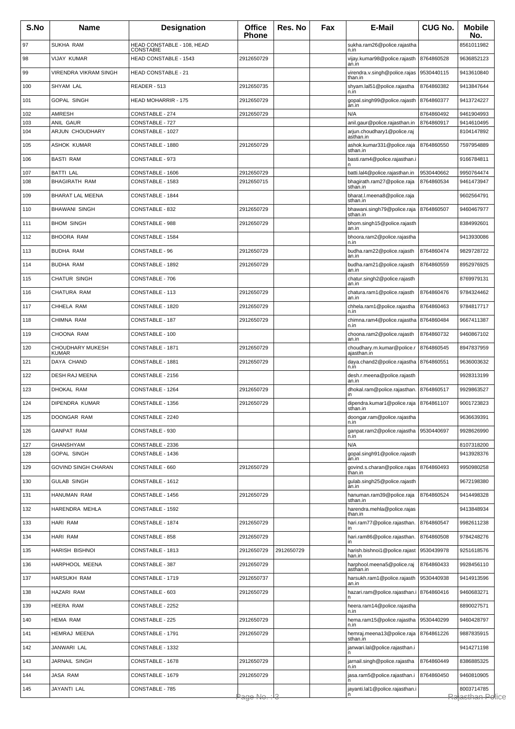| S.No       | Name                                     | <b>Designation</b>                             | <b>Office</b><br><b>Phone</b> | Res. No    | Fax | E-Mail                                                        | <b>CUG No.</b>           | <b>Mobile</b><br>No.     |
|------------|------------------------------------------|------------------------------------------------|-------------------------------|------------|-----|---------------------------------------------------------------|--------------------------|--------------------------|
| 97         | <b>SUKHA RAM</b>                         | HEAD CONSTABLE - 108, HEAD<br><b>CONSTABIE</b> |                               |            |     | sukha.ram26@police.rajastha<br>n.in                           |                          | 8561011982               |
| 98         | VIJAY KUMAR                              | HEAD CONSTABLE - 1543                          | 2912650729                    |            |     | vijay.kumar98@police.rajasth   8764860528<br>an.in            |                          | 9636852123               |
| 99         | <b>VIRENDRA VIKRAM SINGH</b>             | <b>HEAD CONSTABLE - 21</b>                     |                               |            |     | virendra.v.singh@police.rajas<br>than.in                      | 9530440115               | 9413610840               |
| 100        | SHYAM LAL                                | READER - 513                                   | 2912650735                    |            |     | shyam.lal51@police.rajastha<br>n.in                           | 8764860382               | 9413847644               |
| 101        | <b>GOPAL SINGH</b>                       | <b>HEAD MOHARRIR - 175</b>                     | 2912650729                    |            |     | gopal.singh99@police.rajasth   8764860377                     |                          | 9413724227               |
| 102        | <b>AMRESH</b>                            | CONSTABLE - 274                                | 2912650729                    |            |     | an.in<br>N/A                                                  | 8764860492               | 9461904993               |
| 103        | ANIL GAUR<br><b>ARJUN CHOUDHARY</b>      | CONSTABLE - 727                                |                               |            |     | anil.gaur@police.rajasthan.in                                 | 8764860917               | 9414610495               |
| 104        |                                          | CONSTABLE - 1027                               |                               |            |     | arjun.choudhary1@police.raj<br>asthan.in                      |                          | 8104147892               |
| 105        | <b>ASHOK KUMAR</b>                       | CONSTABLE - 1880                               | 2912650729                    |            |     | ashok.kumar331@police.raja<br>sthan.in                        | 8764860550               | 7597954889               |
| 106        | <b>BASTI RAM</b>                         | CONSTABLE - 973                                |                               |            |     | basti.ram4@police.rajasthan.i                                 |                          | 9166784811               |
| 107<br>108 | <b>BATTI LAL</b><br><b>BHAGIRATH RAM</b> | CONSTABLE - 1606<br>CONSTABLE - 1583           | 2912650729<br>2912650715      |            |     | batti.lal4@police.rajasthan.in<br>bhagirath.ram27@police.raja | 9530440662<br>8764860534 | 9950764474<br>9461473947 |
| 109        | <b>BHARAT LAL MEENA</b>                  | CONSTABLE - 1844                               |                               |            |     | sthan.in<br>bharat.l.meena8@police.raja                       |                          | 9602564791               |
| 110        |                                          | CONSTABLE - 832                                |                               |            |     | sthan.in<br>bhawani.singh79@police.raja 8764860507            |                          |                          |
|            | <b>BHAWANI SINGH</b>                     |                                                | 2912650729                    |            |     | sthan.in                                                      |                          | 9460467977               |
| 111        | <b>BHOM SINGH</b>                        | CONSTABLE - 988                                | 2912650729                    |            |     | bhom.singh15@police.rajasth<br>an.in                          |                          | 8384992601               |
| 112        | <b>BHOORA RAM</b>                        | CONSTABLE - 1584                               |                               |            |     | bhoora.ram2@police.rajastha<br>n.in                           |                          | 9413930086               |
| 113        | <b>BUDHA RAM</b>                         | CONSTABLE - 96                                 | 2912650729                    |            |     | budha.ram22@police.rajasth<br>an.in                           | 8764860474               | 9829728722               |
| 114        | <b>BUDHA RAM</b>                         | CONSTABLE - 1892                               | 2912650729                    |            |     | budha.ram21@police.rajasth<br>an.in                           | 8764860559               | 8952976925               |
| 115        | <b>CHATUR SINGH</b>                      | CONSTABLE - 706                                |                               |            |     | chatur.singh2@police.rajasth<br>an.in                         |                          | 8769979131               |
| 116        | <b>CHATURA RAM</b>                       | CONSTABLE - 113                                | 2912650729                    |            |     | chatura.ram1@police.rajasth<br>an.in                          | 8764860476               | 9784324462               |
| 117        | CHHELA RAM                               | CONSTABLE - 1820                               | 2912650729                    |            |     | chhela.ram1@police.rajastha<br>n.in                           | 8764860463               | 9784817717               |
| 118        | CHIMNA RAM                               | CONSTABLE - 187                                | 2912650729                    |            |     | chimna.ram4@police.rajastha                                   | 8764860484               | 9667411387               |
| 119        | CHOONA RAM                               | CONSTABLE - 100                                |                               |            |     | n.in<br>choona.ram2@police.rajasth                            | 8764860732               | 9460867102               |
| 120        | CHOUDHARY MUKESH                         | CONSTABLE - 1871                               | 2912650729                    |            |     | an.in<br>choudhary.m.kumar@police.r                           | 8764860545               | 8947837959               |
| 121        | <b>KUMAR</b><br>DAYA CHAND               | CONSTABLE - 1881                               | 2912650729                    |            |     | ajasthan.in<br>daya.chand2@police.rajastha                    | 8764860551               | 9636003632               |
| 122        | DESH RAJ MEENA                           | CONSTABLE - 2156                               |                               |            |     | n.in<br>desh.r.meena@police.rajasth                           |                          | 9928313199               |
| 123        | DHOKAL RAM                               | CONSTABLE - 1264                               | 2912650729                    |            |     | an.in<br>dhokal.ram@police.rajasthan. 8764860517              |                          | 9929863527               |
|            | DIPENDRA KUMAR                           | CONSTABLE - 1356                               | 2912650729                    |            |     |                                                               |                          | 9001723823               |
| 124        |                                          |                                                |                               |            |     | dipendra.kumar1@police.raja 8764861107<br>sthan.in            |                          |                          |
| 125        | DOONGAR RAM                              | CONSTABLE - 2240                               |                               |            |     | doongar.ram@police.rajastha<br>n.in                           |                          | 9636639391               |
| 126        | <b>GANPAT RAM</b>                        | CONSTABLE - 930                                |                               |            |     | ganpat.ram2@police.rajastha<br>n.in                           | 9530440697               | 9928626990               |
| 127<br>128 | <b>GHANSHYAM</b><br><b>GOPAL SINGH</b>   | CONSTABLE - 2336<br>CONSTABLE - 1436           |                               |            |     | N/A<br>qopal.singh91@police.rajasth                           |                          | 8107318200<br>9413928376 |
| 129        | <b>GOVIND SINGH CHARAN</b>               | CONSTABLE - 660                                | 2912650729                    |            |     | an.in<br>govind.s.charan@police.rajas 8764860493              |                          | 9950980258               |
| 130        | <b>GULAB SINGH</b>                       | CONSTABLE - 1612                               |                               |            |     | than.in<br>gulab.singh25@police.rajasth                       |                          | 9672198380               |
|            |                                          |                                                |                               |            |     | an.in                                                         |                          |                          |
| 131        | HANUMAN RAM                              | CONSTABLE - 1456                               | 2912650729                    |            |     | hanuman.ram39@police.raja<br>sthan.in                         | 8764860524               | 9414498328               |
| 132        | HARENDRA MEHLA                           | CONSTABLE - 1592                               |                               |            |     | harendra.mehla@police.rajas<br>than.in                        |                          | 9413848934               |
| 133        | HARI RAM                                 | CONSTABLE - 1874                               | 2912650729                    |            |     | hari.ram77@police.rajasthan.<br>in                            | 8764860547               | 9982611238               |
| 134        | HARI RAM                                 | CONSTABLE - 858                                | 2912650729                    |            |     | hari.ram86@police.rajasthan.<br>in                            | 8764860508               | 9784248276               |
| 135        | HARISH BISHNOI                           | CONSTABLE - 1813                               | 2912650729                    | 2912650729 |     | harish.bishnoi1@police.rajast<br>han.in                       | 9530439978               | 9251618576               |
| 136        | HARPHOOL MEENA                           | CONSTABLE - 387                                | 2912650729                    |            |     | harphool.meena5@police.raj<br>asthan.in                       | 8764860433               | 9928456110               |
| 137        | <b>HARSUKH RAM</b>                       | CONSTABLE - 1719                               | 2912650737                    |            |     | harsukh.ram1@police.rajasth<br>an.in                          | 9530440938               | 9414913596               |
| 138        | HAZARI RAM                               | CONSTABLE - 603                                | 2912650729                    |            |     | hazari.ram@police.rajasthan.i 8764860416                      |                          | 9460683271               |
| 139        | <b>HEERA RAM</b>                         | CONSTABLE - 2252                               |                               |            |     | heera.ram14@police.rajastha<br>n.in                           |                          | 8890027571               |
| 140        | <b>HEMA RAM</b>                          | CONSTABLE - 225                                | 2912650729                    |            |     | hema.ram15@police.rajastha                                    | 9530440299               | 9460428797               |
| 141        | HEMRAJ MEENA                             | CONSTABLE - 1791                               | 2912650729                    |            |     | n.in<br>hemraj.meena13@police.raja                            | 8764861226               | 9887835915               |
| 142        | JANWARI LAL                              | CONSTABLE - 1332                               |                               |            |     | sthan.in<br>janwari.lal@police.rajasthan.i                    |                          | 9414271198               |
| 143        | JARNAIL SINGH                            | CONSTABLE - 1678                               | 2912650729                    |            |     | jarnail.singh@police.rajastha                                 | 8764860449               | 8386885325               |
| 144        | <b>JASA RAM</b>                          | CONSTABLE - 1679                               | 2912650729                    |            |     | n.in<br>jasa.ram5@police.rajasthan.i                          | 8764860450               | 9460810905               |
|            | JAYANTI LAL                              | CONSTABLE - 785                                |                               |            |     |                                                               |                          | 8003714785               |
| 145        |                                          |                                                | Page No. : l3                 |            |     | jayanti.lal1@police.rajasthan.i                               |                          | Ralasthan Police         |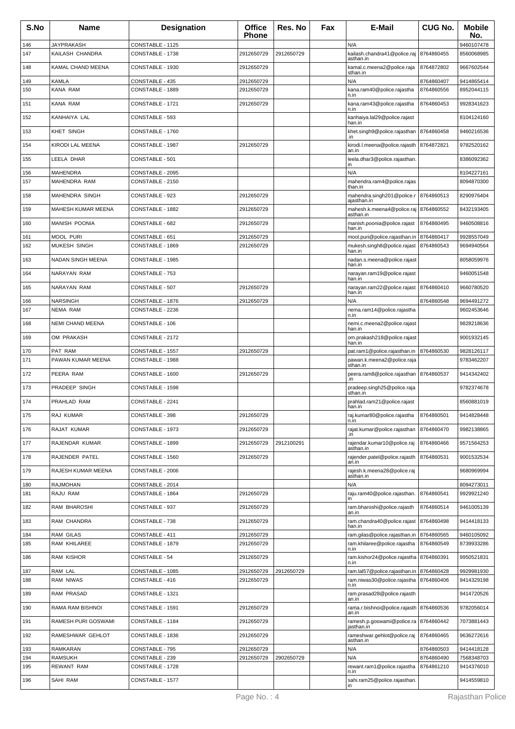| S.No       | <b>Name</b>              | <b>Designation</b>                  | <b>Office</b><br><b>Phone</b> | Res. No    | Fax | E-Mail                                       | <b>CUG No.</b>           | <b>Mobile</b><br>No.     |
|------------|--------------------------|-------------------------------------|-------------------------------|------------|-----|----------------------------------------------|--------------------------|--------------------------|
| 146        | <b>JAYPRAKASH</b>        | CONSTABLE - 1125                    |                               |            |     | N/A                                          |                          | 9460107478               |
| 147        | KAILASH CHANDRA          | CONSTABLE - 1738                    | 2912650729                    | 2912650729 |     | kailash.chandra41@police.raj<br>asthan.in    | 8764860455               | 8560068985               |
| 148        | KAMAL CHAND MEENA        | CONSTABLE - 1930                    | 2912650729                    |            |     | kamal.c.meena2@police.raja<br>sthan.in       | 8764872802               | 9667602544               |
| 149<br>150 | <b>KAMLA</b><br>KANA RAM | CONSTABLE - 435<br>CONSTABLE - 1889 | 2912650729<br>2912650729      |            |     | N/A<br>kana.ram40@police.rajastha            | 8764860407<br>8764860556 | 9414865414<br>8952044115 |
|            |                          |                                     |                               |            |     | n.in                                         |                          |                          |
| 151        | KANA RAM                 | CONSTABLE - 1721                    | 2912650729                    |            |     | kana.ram43@police.rajastha<br>n.in           | 8764860453               | 9928341623               |
| 152        | KANHAIYA LAL             | CONSTABLE - 593                     |                               |            |     | kanhaiya.lal29@police.rajast<br>han.in       |                          | 8104124160               |
| 153        | KHET SINGH               | CONSTABLE - 1760                    |                               |            |     | khet.singh9@police.rajasthan<br>.in          | 8764860458               | 9460216536               |
| 154        | <b>KIRODI LAL MEENA</b>  | CONSTABLE - 1987                    | 2912650729                    |            |     | kirodi.l.meena@police.rajasth<br>an.in       | 8764872821               | 9782520162               |
| 155        | LEELA DHAR               | CONSTABLE - 501                     |                               |            |     | leela.dhar3@police.rajasthan.<br>in          |                          | 8386092362               |
| 156        | <b>MAHENDRA</b>          | CONSTABLE - 2095                    |                               |            |     | N/A                                          |                          | 8104227161               |
| 157        | MAHENDRA RAM             | CONSTABLE - 2150                    |                               |            |     | mahendra.ram4@police.rajas<br>than.in        |                          | 8094870300               |
| 158        | MAHENDRA SINGH           | CONSTABLE - 923                     | 2912650729                    |            |     | mahendra.singh201@police.r<br>ajasthan.in    | 8764860513               | 8290976404               |
| 159        | MAHESH KUMAR MEENA       | CONSTABLE - 1882                    | 2912650729                    |            |     | mahesh.k.meena4@police.raj<br>asthan.in      | 8764860552               | 8432193405               |
| 160        | <b>MANISH POONIA</b>     | CONSTABLE - 682                     | 2912650729                    |            |     | manish.poonia@police.rajast<br>han.in        | 8764860495               | 9460508816               |
| 161        | <b>MOOL PURI</b>         | CONSTABLE - 651                     | 2912650729                    |            |     | mool.puri@police.rajasthan.in                | 8764860417               | 9928557049               |
| 162        | <b>MUKESH SINGH</b>      | CONSTABLE - 1869                    | 2912650729                    |            |     | mukesh.singh8@police.rajast<br>han.in        | 8764860543               | 9694940564               |
| 163        | NADAN SINGH MEENA        | CONSTABLE - 1985                    |                               |            |     | nadan.s.meena@police.rajast<br>han.in        |                          | 8058059976               |
| 164        | NARAYAN RAM              | CONSTABLE - 753                     |                               |            |     | narayan.ram19@police.rajast<br>han.in        |                          | 9460051548               |
| 165        | NARAYAN RAM              | CONSTABLE - 507                     | 2912650729                    |            |     | narayan.ram22@police.rajast<br>han.in        | 8764860410               | 9660780520               |
| 166        | <b>NARSINGH</b>          | CONSTABLE - 1876                    | 2912650729                    |            |     | N/A                                          | 8764860548               | 9694491272               |
| 167        | NEMA RAM                 | CONSTABLE - 2236                    |                               |            |     | nema.ram14@police.rajastha<br>n.in           |                          | 9602453646               |
| 168        | NEMI CHAND MEENA         | CONSTABLE - 106                     |                               |            |     | nemi.c.meena2@police.rajast<br>han.in        |                          | 9828218636               |
| 169        | OM PRAKASH               | CONSTABLE - 2172                    |                               |            |     | om.prakash218@police.rajast<br>han.in        |                          | 9001932145               |
| 170        | PAT RAM                  | CONSTABLE - 1557                    | 2912650729                    |            |     | pat.ram1@police.rajasthan.in                 | 8764860530               | 9828126117               |
| 171        | PAWAN KUMAR MEENA        | CONSTABLE - 1988                    |                               |            |     | pawan.k.meena2@police.raja<br>sthan.in       |                          | 9783462207               |
| 172        | PEERA RAM                | CONSTABLE - 1600                    | 2912650729                    |            |     | peera.ram8@police.rajasthan<br>.in           | 8764860537               | 9414342402               |
| 173        | PRADEEP SINGH            | CONSTABLE - 1598                    |                               |            |     | pradeep.singh25@police.raja<br>sthan.in      |                          | 9782374678               |
| 174        | PRAHLAD RAM              | CONSTABLE - 2241                    |                               |            |     | prahlad.ram21@police.rajast<br>han.in        |                          | 8560881019               |
| 175        | RAJ KUMAR                | CONSTABLE - 398                     | 2912650729                    |            |     | raj.kumar80@police.rajastha<br>n.in          | 8764860501               | 9414828448               |
| 176        | RAJAT KUMAR              | CONSTABLE - 1973                    | 2912650729                    |            |     | rajat.kumar@police.rajasthan                 | 8764860470               | 9982138865               |
| 177        | RAJENDAR KUMAR           | CONSTABLE - 1899                    | 2912650729                    | 2912100291 |     | .in<br>rajendar.kumar10@police.raj           | 8764860466               | 9571564253               |
| 178        | <b>RAJENDER PATEL</b>    | CONSTABLE - 1560                    | 2912650729                    |            |     | asthan.in<br>rajender.patel@police.rajasth   | 8764860531               | 9001532534               |
| 179        | RAJESH KUMAR MEENA       | CONSTABLE - 2006                    |                               |            |     | an.in<br>rajesh.k.meena28@police.raj         |                          | 9680969994               |
| 180        | <b>RAJMOHAN</b>          | CONSTABLE - 2014                    |                               |            |     | asthan.in<br>N/A                             |                          | 8094273011               |
| 181        | RAJU RAM                 | CONSTABLE - 1864                    | 2912650729                    |            |     | raju.ram40@police.rajasthan.                 | 8764860541               | 9929921240               |
| 182        | RAM BHAROSHI             | CONSTABLE - 937                     | 2912650729                    |            |     | in<br>ram.bharoshi@police.rajasth            | 8764860514               | 9461005139               |
| 183        | RAM CHANDRA              | CONSTABLE - 738                     | 2912650729                    |            |     | an.in<br>ram.chandra40@police.rajast         | 8764860498               | 9414418133               |
| 184        | <b>RAM GILAS</b>         | CONSTABLE - 411                     | 2912650729                    |            |     | han.in<br>ram.gilas@police.rajasthan.in      | 8764860565               | 9460105092               |
| 185        | RAM KHILAREE             | CONSTABLE - 1879                    | 2912650729                    |            |     | ram.khilaree@police.rajastha                 | 8764860549               | 8739933286               |
| 186        | RAM KISHOR               | CONSTABLE - 54                      | 2912650729                    |            |     | n.in<br>ram.kishor24@police.rajastha<br>n.in | 8764860391               | 9950521831               |
| 187        | RAM LAL                  | CONSTABLE - 1085                    | 2912650729                    | 2912650729 |     | ram.lal57@police.rajasthan.in                | 8764860428               | 9929981930               |
| 188        | <b>RAM NIWAS</b>         | CONSTABLE - 416                     | 2912650729                    |            |     | ram.niwas30@police.rajastha<br>n.in          | 8764860406               | 9414329198               |
| 189        | RAM PRASAD               | CONSTABLE - 1321                    |                               |            |     | ram.prasad28@police.rajasth<br>an.in         |                          | 9414720526               |
| 190        | RAMA RAM BISHNOI         | CONSTABLE - 1591                    | 2912650729                    |            |     | rama.r.bishnoi@police.rajasth<br>an.in       | 8764860536               | 9782056014               |
| 191        | RAMESH PURI GOSWAMI      | CONSTABLE - 1184                    | 2912650729                    |            |     | ramesh.p.goswami@police.ra<br>jasthan.in     | 8764860442               | 7073881443               |
| 192        | RAMESHWAR GEHLOT         | CONSTABLE - 1836                    | 2912650729                    |            |     | rameshwar.gehlot@police.raj                  | 8764860465               | 9636272616               |
| 193        | <b>RAMKARAN</b>          | CONSTABLE - 795                     | 2912650729                    |            |     | asthan.in<br>N/A                             | 8764860503               | 9414418128               |
| 194        | RAMSUKH                  | CONSTABLE - 239                     | 2912650729                    | 2902650729 |     | N/A                                          | 8764860490               | 7568348703               |
| 195        | REWANT RAM               | CONSTABLE - 1728                    |                               |            |     | rewant.ram1@police.rajastha<br>n.in          | 8764861210               | 9414376010               |
| 196        | SAHI RAM                 | CONSTABLE - 1577                    |                               |            |     | sahi.ram25@police.rajasthan.                 |                          | 9414559810               |